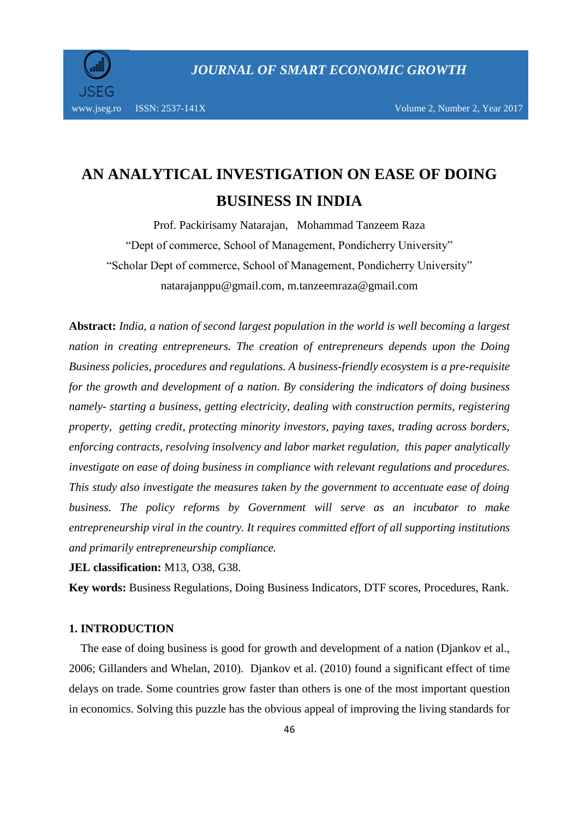

# **AN ANALYTICAL INVESTIGATION ON EASE OF DOING BUSINESS IN INDIA**

Prof. Packirisamy Natarajan, Mohammad Tanzeem Raza "Dept of commerce, School of Management, Pondicherry University" "Scholar Dept of commerce, School of Management, Pondicherry University" natarajanppu@gmail.com, m.tanzeemraza@gmail.com

**Abstract:** *India, a nation of second largest population in the world is well becoming a largest nation in creating entrepreneurs. The creation of entrepreneurs depends upon the Doing Business policies, procedures and regulations. A business-friendly ecosystem is a pre-requisite for the growth and development of a nation. By considering the indicators of doing business namely- starting a business, getting electricity, dealing with construction permits, registering property, getting credit, protecting minority investors, paying taxes, trading across borders, enforcing contracts, resolving insolvency and labor market regulation, this paper analytically investigate on ease of doing business in compliance with relevant regulations and procedures. This study also investigate the measures taken by the government to accentuate ease of doing business. The policy reforms by Government will serve as an incubator to make entrepreneurship viral in the country. It requires committed effort of all supporting institutions and primarily entrepreneurship compliance.*

**JEL classification:** M13, O38, G38.

**Key words:** Business Regulations, Doing Business Indicators, DTF scores, Procedures, Rank.

#### **1. INTRODUCTION**

 The ease of doing business is good for growth and development of a nation (Djankov et al., 2006; Gillanders and Whelan, 2010). Djankov et al. (2010) found a significant effect of time delays on trade. Some countries grow faster than others is one of the most important question in economics. Solving this puzzle has the obvious appeal of improving the living standards for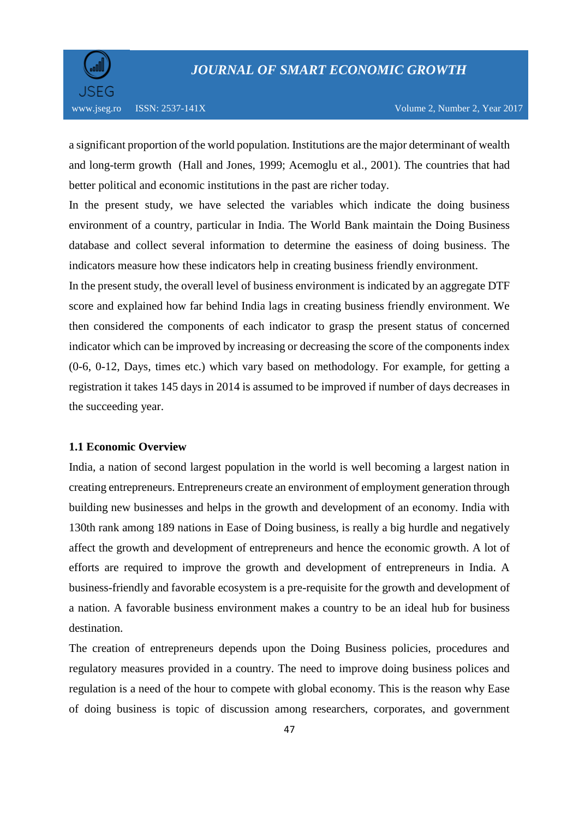

a significant proportion of the world population. Institutions are the major determinant of wealth and long-term growth (Hall and Jones, 1999; Acemoglu et al., 2001). The countries that had better political and economic institutions in the past are richer today.

In the present study, we have selected the variables which indicate the doing business environment of a country, particular in India. The World Bank maintain the Doing Business database and collect several information to determine the easiness of doing business. The indicators measure how these indicators help in creating business friendly environment.

In the present study, the overall level of business environment is indicated by an aggregate DTF score and explained how far behind India lags in creating business friendly environment. We then considered the components of each indicator to grasp the present status of concerned indicator which can be improved by increasing or decreasing the score of the components index (0-6, 0-12, Days, times etc.) which vary based on methodology. For example, for getting a registration it takes 145 days in 2014 is assumed to be improved if number of days decreases in the succeeding year.

#### **1.1 Economic Overview**

India, a nation of second largest population in the world is well becoming a largest nation in creating entrepreneurs. Entrepreneurs create an environment of employment generation through building new businesses and helps in the growth and development of an economy. India with 130th rank among 189 nations in Ease of Doing business, is really a big hurdle and negatively affect the growth and development of entrepreneurs and hence the economic growth. A lot of efforts are required to improve the growth and development of entrepreneurs in India. A business-friendly and favorable ecosystem is a pre-requisite for the growth and development of a nation. A favorable business environment makes a country to be an ideal hub for business destination.

The creation of entrepreneurs depends upon the Doing Business policies, procedures and regulatory measures provided in a country. The need to improve doing business polices and regulation is a need of the hour to compete with global economy. This is the reason why Ease of doing business is topic of discussion among researchers, corporates, and government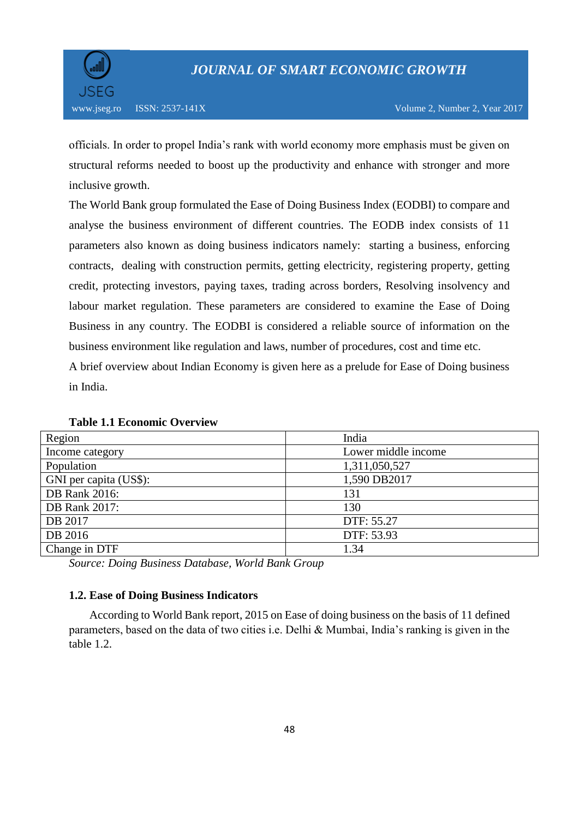

officials. In order to propel India's rank with world economy more emphasis must be given on structural reforms needed to boost up the productivity and enhance with stronger and more inclusive growth.

The World Bank group formulated the Ease of Doing Business Index (EODBI) to compare and analyse the business environment of different countries. The EODB index consists of 11 parameters also known as doing business indicators namely: starting a business, enforcing contracts, dealing with construction permits, getting electricity, registering property, getting credit, protecting investors, paying taxes, trading across borders, Resolving insolvency and labour market regulation. These parameters are considered to examine the Ease of Doing Business in any country. The EODBI is considered a reliable source of information on the business environment like regulation and laws, number of procedures, cost and time etc.

A brief overview about Indian Economy is given here as a prelude for Ease of Doing business in India.

| Region                 | India               |
|------------------------|---------------------|
| Income category        | Lower middle income |
| Population             | 1,311,050,527       |
| GNI per capita (US\$): | 1,590 DB2017        |
| <b>DB</b> Rank 2016:   | 131                 |
| <b>DB</b> Rank 2017:   | 130                 |
| DB 2017                | DTF: 55.27          |
| DB 2016                | DTF: 53.93          |
| Change in DTF          | 1.34                |

**Table 1.1 Economic Overview**

*Source: Doing Business Database, World Bank Group*

### **1.2. Ease of Doing Business Indicators**

 According to World Bank report, 2015 on Ease of doing business on the basis of 11 defined parameters, based on the data of two cities i.e. Delhi & Mumbai, India's ranking is given in the table 1.2.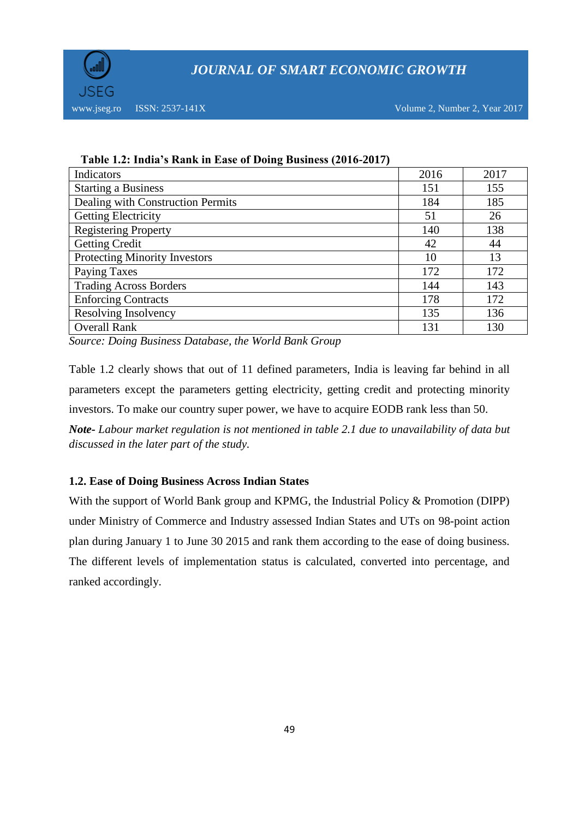

www.jseg.ro ISSN: 2537-141X Volume 2, Number 2, Year 2017

| Table 1.2. India 5 Isahis in Lase of Doing Dashiess (2010 2017) |      |      |
|-----------------------------------------------------------------|------|------|
| Indicators                                                      | 2016 | 2017 |
| <b>Starting a Business</b>                                      | 151  | 155  |
| Dealing with Construction Permits                               | 184  | 185  |
| <b>Getting Electricity</b>                                      | 51   | 26   |
| <b>Registering Property</b>                                     | 140  | 138  |
| <b>Getting Credit</b>                                           | 42   | 44   |
| <b>Protecting Minority Investors</b>                            | 10   | 13   |
| <b>Paying Taxes</b>                                             | 172  | 172  |
| <b>Trading Across Borders</b>                                   | 144  | 143  |
| <b>Enforcing Contracts</b>                                      | 178  | 172  |
| Resolving Insolvency                                            | 135  | 136  |
| <b>Overall Rank</b>                                             | 131  | 130  |

 **Table 1.2: India's Rank in Ease of Doing Business (2016-2017)**

*Source: Doing Business Database, the World Bank Group*

Table 1.2 clearly shows that out of 11 defined parameters, India is leaving far behind in all parameters except the parameters getting electricity, getting credit and protecting minority investors. To make our country super power, we have to acquire EODB rank less than 50.

*Note- Labour market regulation is not mentioned in table 2.1 due to unavailability of data but discussed in the later part of the study.*

### **1.2. Ease of Doing Business Across Indian States**

With the support of World Bank group and KPMG, the Industrial Policy & Promotion (DIPP) under Ministry of Commerce and Industry assessed Indian States and UTs on 98-point action plan during January 1 to June 30 2015 and rank them according to the ease of doing business. The different levels of implementation status is calculated, converted into percentage, and ranked accordingly.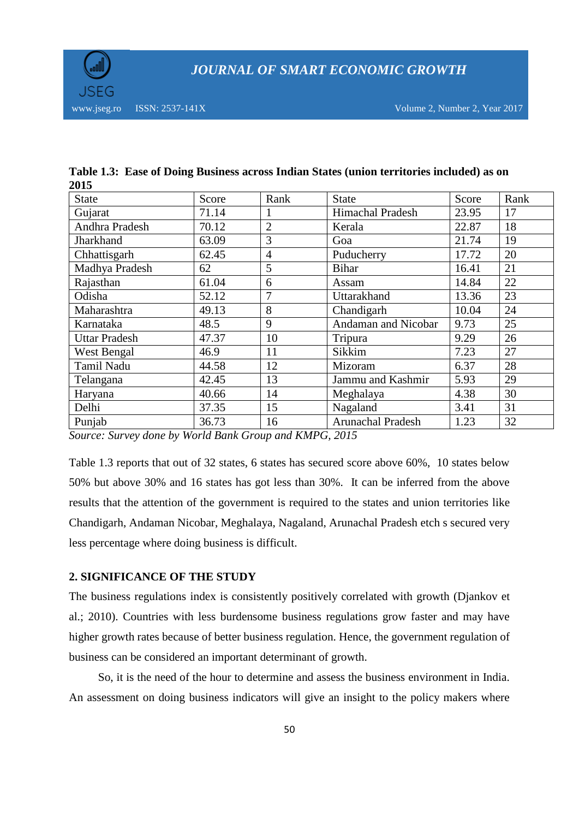

| <b>State</b>         | Score | Rank           | <b>State</b>            | Score | Rank |
|----------------------|-------|----------------|-------------------------|-------|------|
| Gujarat              | 71.14 |                | <b>Himachal Pradesh</b> | 23.95 | 17   |
| Andhra Pradesh       | 70.12 | $\overline{2}$ | Kerala                  | 22.87 | 18   |
| Jharkhand            | 63.09 | 3              | Goa                     | 21.74 | 19   |
| Chhattisgarh         | 62.45 | $\overline{4}$ | Puducherry              | 17.72 | 20   |
| Madhya Pradesh       | 62    | 5              | <b>Bihar</b>            | 16.41 | 21   |
| Rajasthan            | 61.04 | 6              | Assam                   | 14.84 | 22   |
| Odisha               | 52.12 | 7              | Uttarakhand             | 13.36 | 23   |
| Maharashtra          | 49.13 | 8              | Chandigarh              | 10.04 | 24   |
| Karnataka            | 48.5  | 9              | Andaman and Nicobar     | 9.73  | 25   |
| <b>Uttar Pradesh</b> | 47.37 | 10             | Tripura                 | 9.29  | 26   |
| West Bengal          | 46.9  | 11             | Sikkim                  | 7.23  | 27   |
| Tamil Nadu           | 44.58 | 12             | Mizoram                 | 6.37  | 28   |
| Telangana            | 42.45 | 13             | Jammu and Kashmir       | 5.93  | 29   |
| Haryana              | 40.66 | 14             | Meghalaya               | 4.38  | 30   |
| Delhi                | 37.35 | 15             | Nagaland                | 3.41  | 31   |
| Punjab               | 36.73 | 16             | Arunachal Pradesh       | 1.23  | 32   |

|      | Table 1.3: Ease of Doing Business across Indian States (union territories included) as on |
|------|-------------------------------------------------------------------------------------------|
| 2015 |                                                                                           |

*Source: Survey done by World Bank Group and KMPG, 2015*

Table 1.3 reports that out of 32 states, 6 states has secured score above 60%, 10 states below 50% but above 30% and 16 states has got less than 30%. It can be inferred from the above results that the attention of the government is required to the states and union territories like Chandigarh, Andaman Nicobar, Meghalaya, Nagaland, Arunachal Pradesh etch s secured very less percentage where doing business is difficult.

### **2. SIGNIFICANCE OF THE STUDY**

The business regulations index is consistently positively correlated with growth (Djankov et al.; 2010). Countries with less burdensome business regulations grow faster and may have higher growth rates because of better business regulation. Hence, the government regulation of business can be considered an important determinant of growth.

 So, it is the need of the hour to determine and assess the business environment in India. An assessment on doing business indicators will give an insight to the policy makers where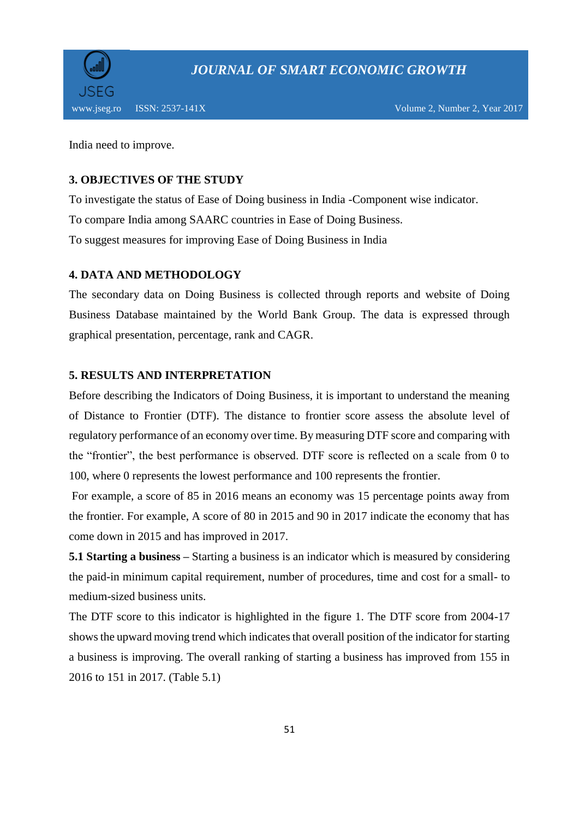

India need to improve.

### **3. OBJECTIVES OF THE STUDY**

To investigate the status of Ease of Doing business in India -Component wise indicator. To compare India among SAARC countries in Ease of Doing Business. To suggest measures for improving Ease of Doing Business in India

### **4. DATA AND METHODOLOGY**

The secondary data on Doing Business is collected through reports and website of Doing Business Database maintained by the World Bank Group. The data is expressed through graphical presentation, percentage, rank and CAGR.

## **5. RESULTS AND INTERPRETATION**

Before describing the Indicators of Doing Business, it is important to understand the meaning of Distance to Frontier (DTF). The distance to frontier score assess the absolute level of regulatory performance of an economy over time. By measuring DTF score and comparing with the "frontier", the best performance is observed. DTF score is reflected on a scale from 0 to 100, where 0 represents the lowest performance and 100 represents the frontier.

For example, a score of 85 in 2016 means an economy was 15 percentage points away from the frontier. For example, A score of 80 in 2015 and 90 in 2017 indicate the economy that has come down in 2015 and has improved in 2017.

**5.1 Starting a business –** Starting a business is an indicator which is measured by considering the paid-in minimum capital requirement, number of procedures, time and cost for a small- to medium-sized business units.

The DTF score to this indicator is highlighted in the figure 1. The DTF score from 2004-17 shows the upward moving trend which indicates that overall position of the indicator for starting a business is improving. The overall ranking of starting a business has improved from 155 in 2016 to 151 in 2017. (Table 5.1)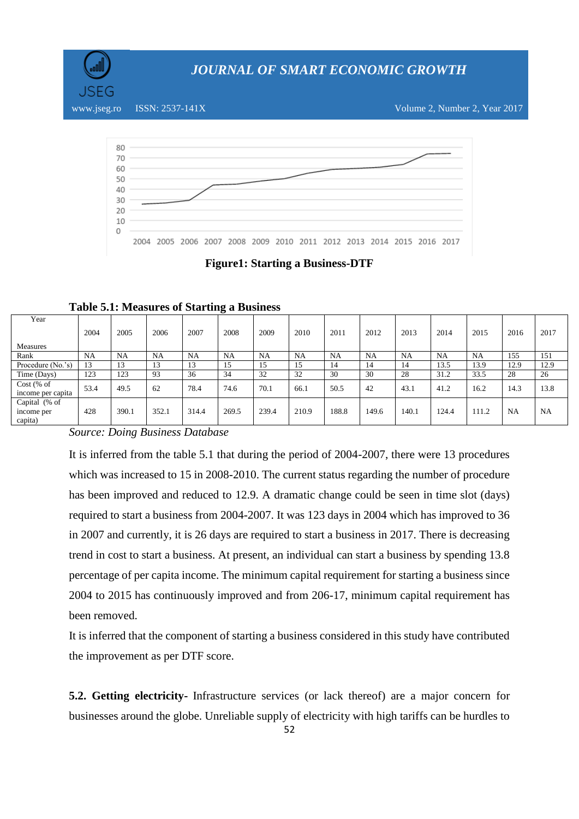

www.jseg.ro ISSN: 2537-141X Volume 2, Number 2, Year 2017



**Figure1: Starting a Business-DTF**

| Year              |      |       |           |       |           |           |           |       |       |       |           |       |           |           |
|-------------------|------|-------|-----------|-------|-----------|-----------|-----------|-------|-------|-------|-----------|-------|-----------|-----------|
|                   | 2004 | 2005  | 2006      | 2007  | 2008      | 2009      | 2010      | 2011  | 2012  | 2013  | 2014      | 2015  | 2016      | 2017      |
| <b>Measures</b>   |      |       |           |       |           |           |           |       |       |       |           |       |           |           |
| Rank              | NA   | NA    | <b>NA</b> | NA    | <b>NA</b> | <b>NA</b> | <b>NA</b> | NA.   | NA    | NA    | <b>NA</b> | NA    | 155       | 151       |
| Procedure (No.'s) | 13   | 13    | 13        | 13    | 15        | 15        | 15        | 14    | 14    | 14    | 13.5      | 13.9  | 12.9      | 12.9      |
| Time (Days)       | 123  | 123   | 93        | 36    | 34        | 32        | 32        | 30    | 30    | 28    | 31.2      | 33.5  | 28        | 26        |
| $Cost$ (% of      | 53.4 | 49.5  | 62        | 78.4  | 74.6      | 70.1      | 66.1      | 50.5  | 42    | 43.1  | 41.2      | 16.2  | 14.3      | 13.8      |
| income per capita |      |       |           |       |           |           |           |       |       |       |           |       |           |           |
| Capital (% of     |      |       |           |       |           |           |           |       |       |       |           |       |           |           |
| income per        | 428  | 390.1 | 352.1     | 314.4 | 269.5     | 239.4     | 210.9     | 188.8 | 149.6 | 140.1 | 124.4     | 111.2 | <b>NA</b> | <b>NA</b> |
| capita)           |      |       |           |       |           |           |           |       |       |       |           |       |           |           |

**Table 5.1: Measures of Starting a Business**

*Source: Doing Business Database*

It is inferred from the table 5.1 that during the period of 2004-2007, there were 13 procedures which was increased to 15 in 2008-2010. The current status regarding the number of procedure has been improved and reduced to 12.9. A dramatic change could be seen in time slot (days) required to start a business from 2004-2007. It was 123 days in 2004 which has improved to 36 in 2007 and currently, it is 26 days are required to start a business in 2017. There is decreasing trend in cost to start a business. At present, an individual can start a business by spending 13.8 percentage of per capita income. The minimum capital requirement for starting a business since 2004 to 2015 has continuously improved and from 206-17, minimum capital requirement has been removed.

It is inferred that the component of starting a business considered in this study have contributed the improvement as per DTF score.

**5.2. Getting electricity-** Infrastructure services (or lack thereof) are a major concern for businesses around the globe. Unreliable supply of electricity with high tariffs can be hurdles to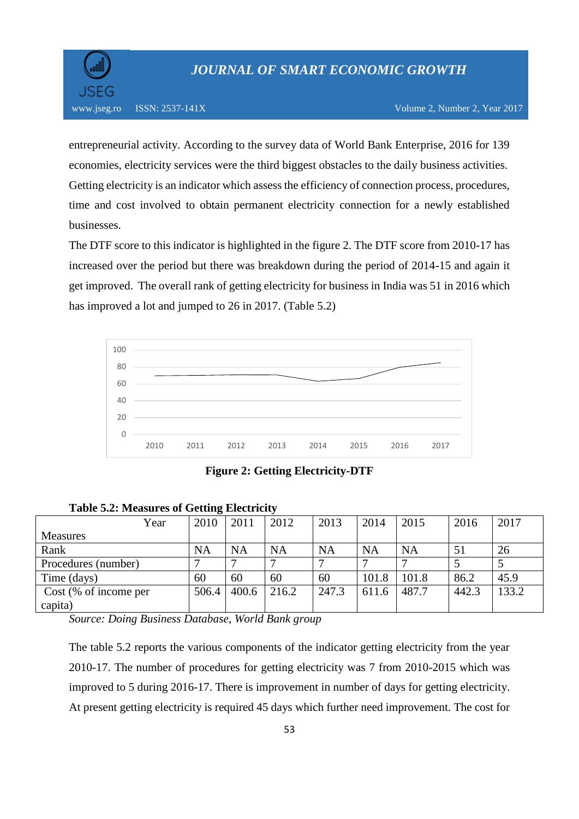

entrepreneurial activity. According to the survey data of World Bank Enterprise, 2016 for 139 economies, electricity services were the third biggest obstacles to the daily business activities. Getting electricity is an indicator which assess the efficiency of connection process, procedures, time and cost involved to obtain permanent electricity connection for a newly established businesses.

The DTF score to this indicator is highlighted in the figure 2. The DTF score from 2010-17 has increased over the period but there was breakdown during the period of 2014-15 and again it get improved. The overall rank of getting electricity for business in India was 51 in 2016 which has improved a lot and jumped to 26 in 2017. (Table 5.2)



**Figure 2: Getting Electricity-DTF**

| Year                  | 2010      | 2011      | 2012      | 2013      | 2014      | 2015  | 2016  | 2017  |  |  |  |  |
|-----------------------|-----------|-----------|-----------|-----------|-----------|-------|-------|-------|--|--|--|--|
| Measures              |           |           |           |           |           |       |       |       |  |  |  |  |
| Rank                  | <b>NA</b> | <b>NA</b> | <b>NA</b> | <b>NA</b> | <b>NA</b> | NA    | 51    | 26    |  |  |  |  |
| Procedures (number)   |           |           | ⇁         |           | −         |       |       |       |  |  |  |  |
| Time (days)           | 60        | 60        | 60        | 60        | 101.8     | 101.8 | 86.2  | 45.9  |  |  |  |  |
| Cost (% of income per | 506.4     | 400.6     | 216.2     | 247.3     | 611.6     | 487.7 | 442.3 | 133.2 |  |  |  |  |
| capita)               |           |           |           |           |           |       |       |       |  |  |  |  |

**Table 5.2: Measures of Getting Electricity** 

*Source: Doing Business Database, World Bank group*

The table 5.2 reports the various components of the indicator getting electricity from the year 2010-17. The number of procedures for getting electricity was 7 from 2010-2015 which was improved to 5 during 2016-17. There is improvement in number of days for getting electricity. At present getting electricity is required 45 days which further need improvement. The cost for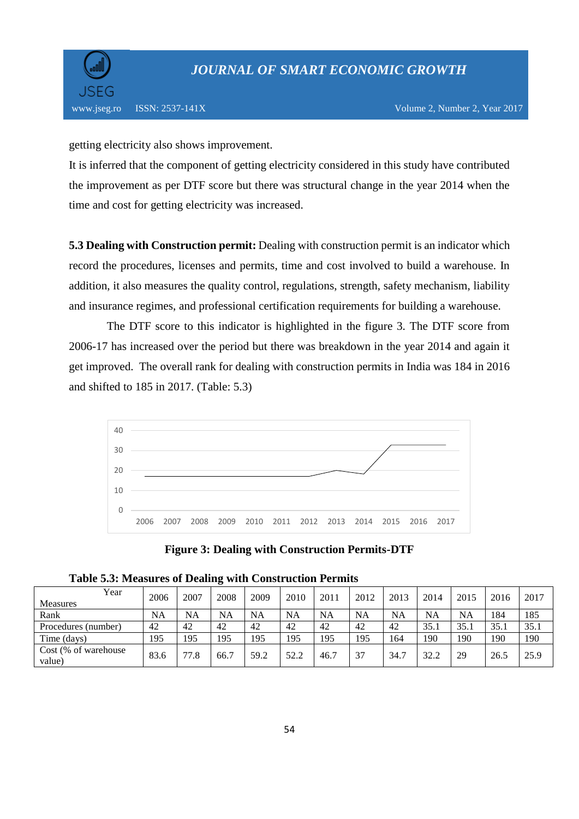

getting electricity also shows improvement.

It is inferred that the component of getting electricity considered in this study have contributed the improvement as per DTF score but there was structural change in the year 2014 when the time and cost for getting electricity was increased.

**5.3 Dealing with Construction permit:** Dealing with construction permit is an indicator which record the procedures, licenses and permits, time and cost involved to build a warehouse. In addition, it also measures the quality control, regulations, strength, safety mechanism, liability and insurance regimes, and professional certification requirements for building a warehouse.

 The DTF score to this indicator is highlighted in the figure 3. The DTF score from 2006-17 has increased over the period but there was breakdown in the year 2014 and again it get improved. The overall rank for dealing with construction permits in India was 184 in 2016 and shifted to 185 in 2017. (Table: 5.3)



**Figure 3: Dealing with Construction Permits-DTF**

| Year                           | 2006 | 2007 | 2008      | 2009      | 2010      | 2011 | 2012      | 2013 | 2014      | 2015 | 2016 | 2017 |
|--------------------------------|------|------|-----------|-----------|-----------|------|-----------|------|-----------|------|------|------|
| <b>Measures</b>                |      |      |           |           |           |      |           |      |           |      |      |      |
| Rank                           | NA   | NA   | <b>NA</b> | <b>NA</b> | <b>NA</b> | NA   | <b>NA</b> | NA   | <b>NA</b> | NA   | 184  | 185  |
| Procedures (number)            | 42   | 42   | 42        | 42        | 42        | 42   | 42        | 42   | 35.1      | 35.1 | 35.1 | 35.1 |
| Time (days)                    | 195  | 195  | 195       | 195       | 195       | 195  | 195       | 164  | 190       | 190  | 190  | 190  |
| Cost (% of warehouse<br>value) | 83.6 | 77.8 | 66.7      | 59.2      | 52.2      | 46.7 | 37        | 34.7 | 32.2      | 29   | 26.5 | 25.9 |

**Table 5.3: Measures of Dealing with Construction Permits**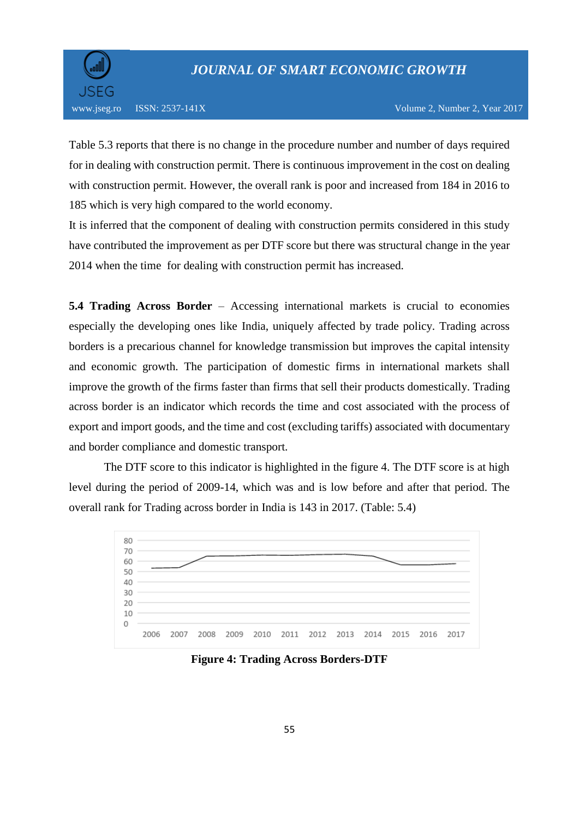

Table 5.3 reports that there is no change in the procedure number and number of days required for in dealing with construction permit. There is continuous improvement in the cost on dealing with construction permit. However, the overall rank is poor and increased from 184 in 2016 to 185 which is very high compared to the world economy.

It is inferred that the component of dealing with construction permits considered in this study have contributed the improvement as per DTF score but there was structural change in the year 2014 when the time for dealing with construction permit has increased.

**5.4 Trading Across Border** – Accessing international markets is crucial to economies especially the developing ones like India, uniquely affected by trade policy. Trading across borders is a precarious channel for knowledge transmission but improves the capital intensity and economic growth. The participation of domestic firms in international markets shall improve the growth of the firms faster than firms that sell their products domestically. Trading across border is an indicator which records the time and cost associated with the process of export and import goods, and the time and cost (excluding tariffs) associated with documentary and border compliance and domestic transport.

 The DTF score to this indicator is highlighted in the figure 4. The DTF score is at high level during the period of 2009-14, which was and is low before and after that period. The overall rank for Trading across border in India is 143 in 2017. (Table: 5.4)



**Figure 4: Trading Across Borders-DTF**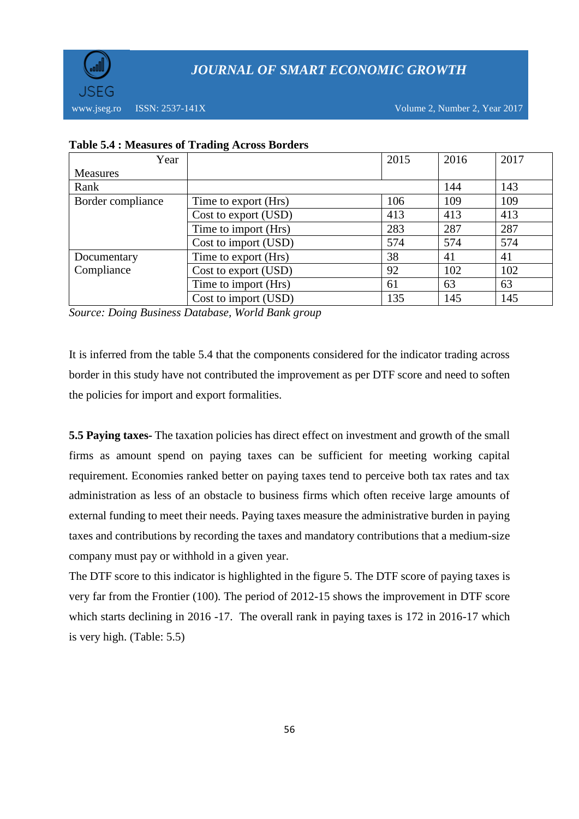

www.jseg.ro ISSN: 2537-141X Volume 2, Number 2, Year 2017

| Year              |                      | 2015 | 2016 | 2017 |
|-------------------|----------------------|------|------|------|
| <b>Measures</b>   |                      |      |      |      |
| Rank              |                      |      | 144  | 143  |
| Border compliance | Time to export (Hrs) | 106  | 109  | 109  |
|                   | Cost to export (USD) | 413  | 413  | 413  |
|                   | Time to import (Hrs) | 283  | 287  | 287  |
|                   | Cost to import (USD) | 574  | 574  | 574  |
| Documentary       | Time to export (Hrs) | 38   | 41   | 41   |
| Compliance        | Cost to export (USD) | 92   | 102  | 102  |
|                   | Time to import (Hrs) | 61   | 63   | 63   |
|                   | Cost to import (USD) | 135  | 145  | 145  |

### **Table 5.4 : Measures of Trading Across Borders**

*Source: Doing Business Database, World Bank group*

It is inferred from the table 5.4 that the components considered for the indicator trading across border in this study have not contributed the improvement as per DTF score and need to soften the policies for import and export formalities.

**5.5 Paying taxes-** The taxation policies has direct effect on investment and growth of the small firms as amount spend on paying taxes can be sufficient for meeting working capital requirement. Economies ranked better on paying taxes tend to perceive both tax rates and tax administration as less of an obstacle to business firms which often receive large amounts of external funding to meet their needs. Paying taxes measure the administrative burden in paying taxes and contributions by recording the taxes and mandatory contributions that a medium-size company must pay or withhold in a given year.

The DTF score to this indicator is highlighted in the figure 5. The DTF score of paying taxes is very far from the Frontier (100). The period of 2012-15 shows the improvement in DTF score which starts declining in 2016 -17. The overall rank in paying taxes is 172 in 2016-17 which is very high. (Table: 5.5)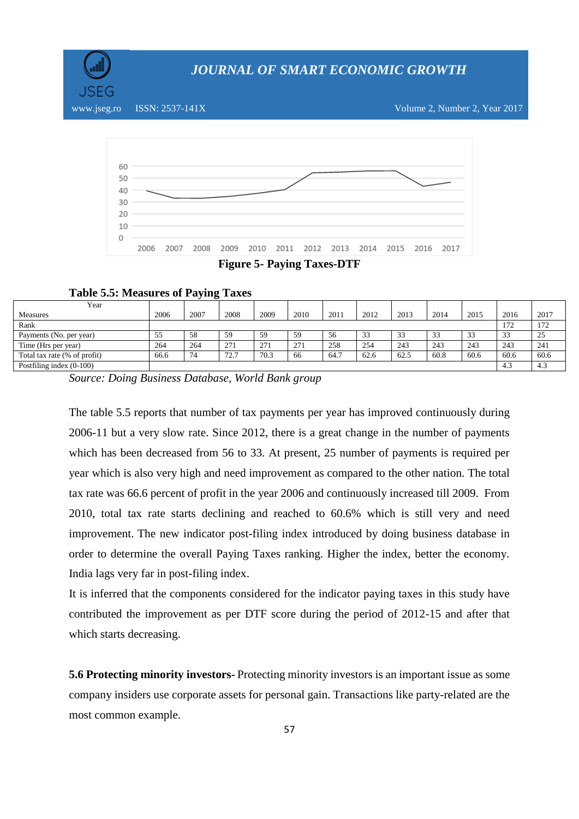



**Table 5.5: Measures of Paying Taxes**

| $\overline{\phantom{a}}$     |      |      |      |      |      |      |      |                 |      |      |           |      |
|------------------------------|------|------|------|------|------|------|------|-----------------|------|------|-----------|------|
| Year                         |      |      |      |      |      |      |      |                 |      |      |           |      |
| <b>Measures</b>              | 2006 | 2007 | 2008 | 2009 | 2010 | 2011 | 2012 | 2013            | 2014 | 2015 | 2016      | 2017 |
| Rank                         |      |      |      |      |      |      |      |                 |      |      | 172       | 172  |
| Payments (No. per year)      | 55   | 58   | 59   | 59   | 59   | 56   | 33   | $\Omega$<br>ر ر | 33   | 33   | 33<br>ر ر | 25   |
| Time (Hrs per year)          | 264  | 264  | 271  | 271  | 271  | 258  | 254  | 243             | 243  | 243  | 243       | 241  |
| Total tax rate (% of profit) | 66.6 | 74   | 72.7 | 70.3 | 66   | 64.7 | 62.6 | 62.5            | 60.8 | 60.6 | 60.6      | 60.6 |
| Postfiling index $(0-100)$   |      |      |      |      |      |      |      |                 |      |      | 4.3       | 4.3  |

*Source: Doing Business Database, World Bank group*

The table 5.5 reports that number of tax payments per year has improved continuously during 2006-11 but a very slow rate. Since 2012, there is a great change in the number of payments which has been decreased from 56 to 33. At present, 25 number of payments is required per year which is also very high and need improvement as compared to the other nation. The total tax rate was 66.6 percent of profit in the year 2006 and continuously increased till 2009. From 2010, total tax rate starts declining and reached to 60.6% which is still very and need improvement. The new indicator post-filing index introduced by doing business database in order to determine the overall Paying Taxes ranking. Higher the index, better the economy. India lags very far in post-filing index.

It is inferred that the components considered for the indicator paying taxes in this study have contributed the improvement as per DTF score during the period of 2012-15 and after that which starts decreasing.

**5.6 Protecting minority investors-** Protecting minority investors is an important issue as some company insiders use corporate assets for personal gain. Transactions like party-related are the most common example.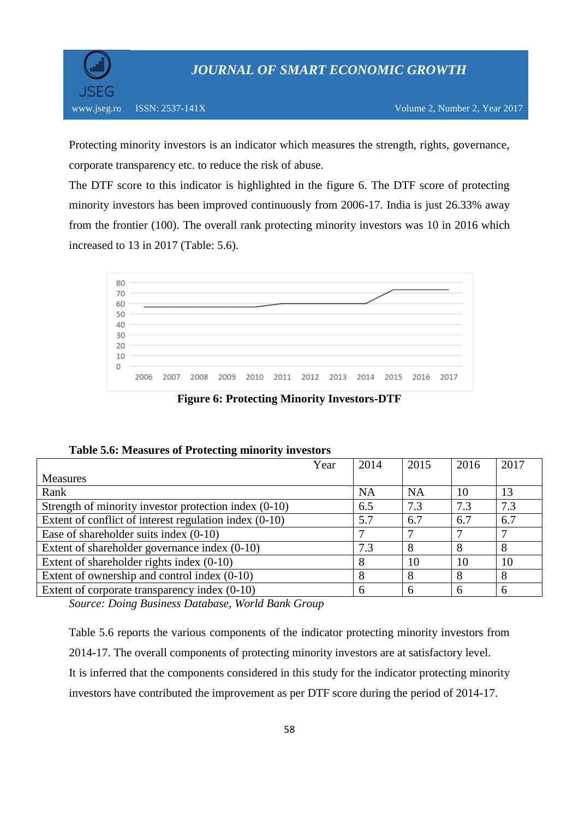

Protecting minority investors is an indicator which measures the strength, rights, governance, corporate transparency etc. to reduce the risk of abuse.

The DTF score to this indicator is highlighted in the figure 6. The DTF score of protecting minority investors has been improved continuously from 2006-17. India is just 26.33% away from the frontier (100). The overall rank protecting minority investors was 10 in 2016 which increased to 13 in 2017 (Table: 5.6).



**Figure 6: Protecting Minority Investors-DTF**

|  | Table 5.6: Measures of Protecting minority investors |  |
|--|------------------------------------------------------|--|
|  |                                                      |  |

| Year                                                     | 2014      | 2015 | 2016 | 2017 |
|----------------------------------------------------------|-----------|------|------|------|
| <b>Measures</b>                                          |           |      |      |      |
| Rank                                                     | <b>NA</b> | NA   | 10   | 13   |
| Strength of minority investor protection index (0-10)    | 6.5       | 7.3  | 7.3  | 7.3  |
| Extent of conflict of interest regulation index $(0-10)$ | 5.7       | 6.7  | 6.7  | 6.7  |
| Ease of shareholder suits index $(0-10)$                 |           |      |      |      |
| Extent of shareholder governance index (0-10)            | 7.3       | 8    | 8    | 8    |
| Extent of shareholder rights index $(0-10)$              | 8         | 10   | 10   | 10   |
| Extent of ownership and control index $(0-10)$           | 8         |      | 8    | 8    |
| Extent of corporate transparency index (0-10)            | 6         |      | 6    |      |

*Source: Doing Business Database, World Bank Group*

Table 5.6 reports the various components of the indicator protecting minority investors from 2014-17. The overall components of protecting minority investors are at satisfactory level. It is inferred that the components considered in this study for the indicator protecting minority investors have contributed the improvement as per DTF score during the period of 2014-17.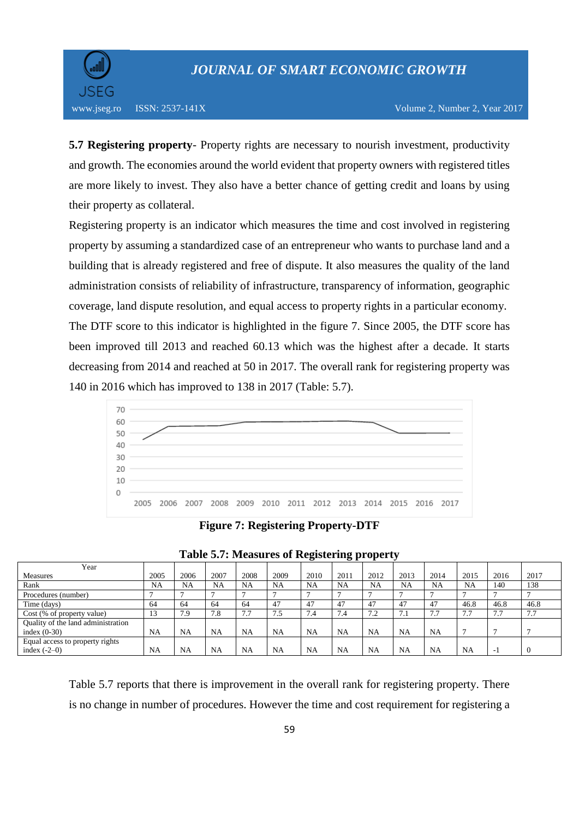

www.jseg.ro ISSN: 2537-141X Volume 2, Number 2, Year 2017

**5.7 Registering property**- Property rights are necessary to nourish investment, productivity and growth. The economies around the world evident that property owners with registered titles are more likely to invest. They also have a better chance of getting credit and loans by using their property as collateral.

Registering property is an indicator which measures the time and cost involved in registering property by assuming a standardized case of an entrepreneur who wants to purchase land and a building that is already registered and free of dispute. It also measures the quality of the land administration consists of reliability of infrastructure, transparency of information, geographic coverage, land dispute resolution, and equal access to property rights in a particular economy. The DTF score to this indicator is highlighted in the figure 7. Since 2005, the DTF score has been improved till 2013 and reached 60.13 which was the highest after a decade. It starts decreasing from 2014 and reached at 50 in 2017. The overall rank for registering property was 140 in 2016 which has improved to 138 in 2017 (Table: 5.7).



**Figure 7: Registering Property-DTF**

|                                    |      |           |      |           |           | $\overline{\phantom{0}}$ |           | . .        |                      |                     |      |                          |                     |  |
|------------------------------------|------|-----------|------|-----------|-----------|--------------------------|-----------|------------|----------------------|---------------------|------|--------------------------|---------------------|--|
| Year                               |      |           |      |           |           |                          |           |            |                      |                     |      |                          |                     |  |
| <b>Measures</b>                    | 2005 | 2006      | 2007 | 2008      | 2009      | 2010                     | 2011      | 2012       | 2013                 | 2014                | 2015 | 2016                     | 2017                |  |
| Rank                               | NA   | NA        | NA   | <b>NA</b> | NA        | <b>NA</b>                | <b>NA</b> | NA         | <b>NA</b>            | NA                  | NA   | 140                      | 138                 |  |
| Procedures (number)                |      |           |      |           |           |                          |           |            |                      |                     |      |                          |                     |  |
| Time (days)                        | 64   | 64        | 64   | 64        | 47        | 47                       | 47        | 47         |                      | 47                  | 46.8 | 46.8                     | 46.8                |  |
| Cost (% of property value)         | 13   | 7.9       | 7.8  | 7.7       | 7.5       | 7.4                      | 7.4       | 72<br>$-4$ | -<br>$^{\prime}$ . 1 | $\sim$ $\sim$<br>77 | 7.7  | 7.7                      | 77<br>$\frac{1}{2}$ |  |
| Quality of the land administration |      |           |      |           |           |                          |           |            |                      |                     |      |                          |                     |  |
| index $(0-30)$                     | NA   | <b>NA</b> | NA   | <b>NA</b> | <b>NA</b> | <b>NA</b>                | <b>NA</b> | <b>NA</b>  | NA                   | <b>NA</b>           |      |                          |                     |  |
| Equal access to property rights    |      |           |      |           |           |                          |           |            |                      |                     |      |                          |                     |  |
| index $(-2-0)$                     | NA   | <b>NA</b> | NA   | <b>NA</b> | <b>NA</b> | <b>NA</b>                | <b>NA</b> | <b>NA</b>  | NA                   | <b>NA</b>           | NA   | $\overline{\phantom{a}}$ |                     |  |

|  |  |  | <b>Table 5.7: Measures of Registering property</b> |  |
|--|--|--|----------------------------------------------------|--|
|  |  |  |                                                    |  |

Table 5.7 reports that there is improvement in the overall rank for registering property. There is no change in number of procedures. However the time and cost requirement for registering a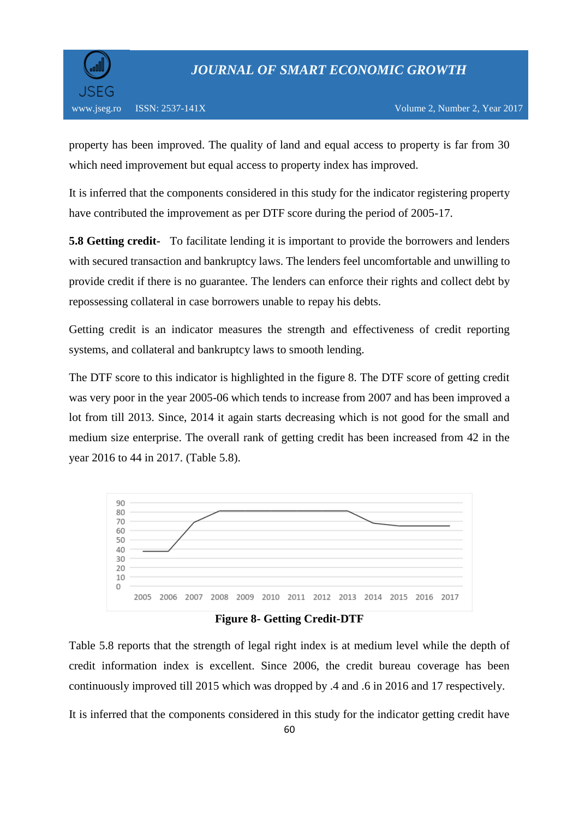

property has been improved. The quality of land and equal access to property is far from 30 which need improvement but equal access to property index has improved.

It is inferred that the components considered in this study for the indicator registering property have contributed the improvement as per DTF score during the period of 2005-17.

**5.8 Getting credit-** To facilitate lending it is important to provide the borrowers and lenders with secured transaction and bankruptcy laws. The lenders feel uncomfortable and unwilling to provide credit if there is no guarantee. The lenders can enforce their rights and collect debt by repossessing collateral in case borrowers unable to repay his debts.

Getting credit is an indicator measures the strength and effectiveness of credit reporting systems, and collateral and bankruptcy laws to smooth lending.

The DTF score to this indicator is highlighted in the figure 8. The DTF score of getting credit was very poor in the year 2005-06 which tends to increase from 2007 and has been improved a lot from till 2013. Since, 2014 it again starts decreasing which is not good for the small and medium size enterprise. The overall rank of getting credit has been increased from 42 in the year 2016 to 44 in 2017. (Table 5.8).



**Figure 8- Getting Credit-DTF**

Table 5.8 reports that the strength of legal right index is at medium level while the depth of credit information index is excellent. Since 2006, the credit bureau coverage has been continuously improved till 2015 which was dropped by .4 and .6 in 2016 and 17 respectively.

It is inferred that the components considered in this study for the indicator getting credit have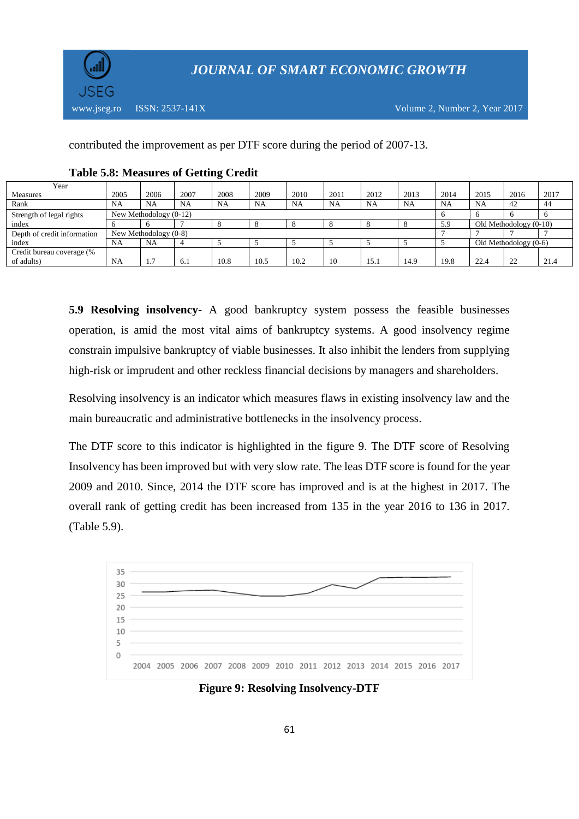

contributed the improvement as per DTF score during the period of 2007-13.

| Year                        |      |                          |      |      |      |      |      |      |           |      |                         |                          |      |
|-----------------------------|------|--------------------------|------|------|------|------|------|------|-----------|------|-------------------------|--------------------------|------|
| <b>Measures</b>             | 2005 | 2006                     | 2007 | 2008 | 2009 | 2010 | 2011 | 2012 | 2013      | 2014 | 2015                    | 2016                     | 2017 |
| Rank                        | NA   | <b>NA</b>                | NA   | NA   | NA   | NA   | NA   | NA   | <b>NA</b> | NA   | NA                      | 42                       | 44   |
| Strength of legal rights    |      | New Methodology $(0-12)$ |      |      |      |      |      |      |           |      |                         |                          |      |
| index                       |      |                          |      |      |      |      |      |      |           | 5.9  |                         | Old Methodology $(0-10)$ |      |
| Depth of credit information |      | New Methodology $(0-8)$  |      |      |      |      |      |      |           |      |                         |                          |      |
| index                       | NA   | NA                       |      |      |      |      |      |      |           |      | Old Methodology $(0-6)$ |                          |      |
| Credit bureau coverage (%   |      |                          |      |      |      |      |      |      |           |      |                         |                          |      |
| of adults)                  | NA   | −<br>$\pm$ .             | 6.1  | 10.8 | 10.5 | 10.2 | 10   | 15.  | 14.9      | 19.8 | 22.4                    | $\mathcal{D}$            | 21.4 |

#### **Table 5.8: Measures of Getting Credit**

**5.9 Resolving insolvency-** A good bankruptcy system possess the feasible businesses operation, is amid the most vital aims of bankruptcy systems. A good insolvency regime constrain impulsive bankruptcy of viable businesses. It also inhibit the lenders from supplying high-risk or imprudent and other reckless financial decisions by managers and shareholders.

Resolving insolvency is an indicator which measures flaws in existing insolvency law and the main bureaucratic and administrative bottlenecks in the insolvency process.

The DTF score to this indicator is highlighted in the figure 9. The DTF score of Resolving Insolvency has been improved but with very slow rate. The leas DTF score is found for the year 2009 and 2010. Since, 2014 the DTF score has improved and is at the highest in 2017. The overall rank of getting credit has been increased from 135 in the year 2016 to 136 in 2017. (Table 5.9).



**Figure 9: Resolving Insolvency-DTF**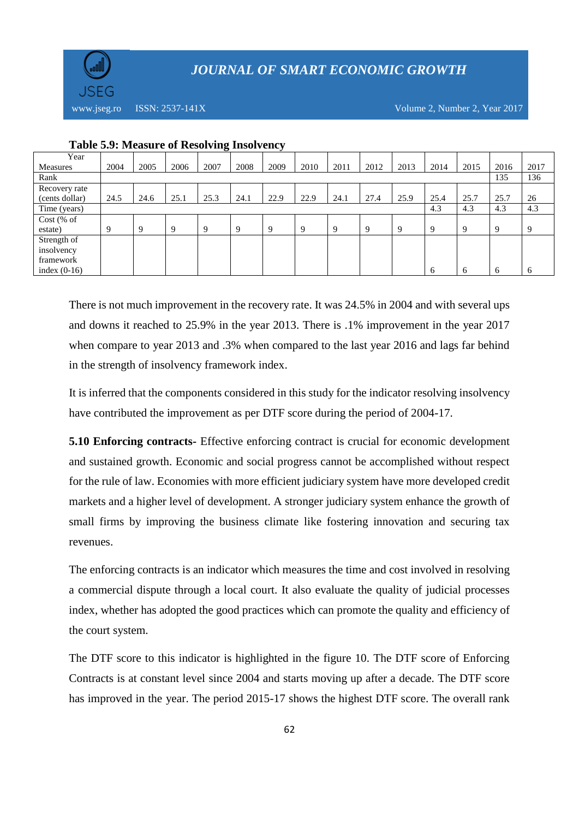

www.jseg.ro ISSN:  $2537-141X$  Volume 2, Number 2, Year 2017

| Year            |      |      |      |             |             |      |      |             |      |             |      |      |              |      |
|-----------------|------|------|------|-------------|-------------|------|------|-------------|------|-------------|------|------|--------------|------|
| <b>Measures</b> | 2004 | 2005 | 2006 | 2007        | 2008        | 2009 | 2010 | 2011        | 2012 | 2013        | 2014 | 2015 | 2016         | 2017 |
| Rank            |      |      |      |             |             |      |      |             |      |             |      |      | 135          | 136  |
| Recovery rate   |      |      |      |             |             |      |      |             |      |             |      |      |              |      |
| (cents dollar)  | 24.5 | 24.6 | 25.1 | 25.3        | 24.1        | 22.9 | 22.9 | 24.1        | 27.4 | 25.9        | 25.4 | 25.7 | 25.7         | 26   |
| Time (years)    |      |      |      |             |             |      |      |             |      |             | 4.3  | 4.3  | 4.3          | 4.3  |
| $Cost$ (% of    |      |      |      |             |             |      |      |             |      |             |      |      |              |      |
| estate)         | 9    | 9    | 9    | $\mathbf Q$ | $\mathbf Q$ | 9    | 9    | $\mathbf Q$ | 9    | $\mathbf Q$ | 9    | 9    | $\mathbf Q$  | 9    |
| Strength of     |      |      |      |             |             |      |      |             |      |             |      |      |              |      |
| insolvency      |      |      |      |             |             |      |      |             |      |             |      |      |              |      |
| framework       |      |      |      |             |             |      |      |             |      |             |      |      |              |      |
| index $(0-16)$  |      |      |      |             |             |      |      |             |      |             | 6    | 6    | <sub>6</sub> | 6    |
|                 |      |      |      |             |             |      |      |             |      |             |      |      |              |      |

#### **Table 5.9: Measure of Resolving Insolvency**

There is not much improvement in the recovery rate. It was 24.5% in 2004 and with several ups and downs it reached to 25.9% in the year 2013. There is .1% improvement in the year 2017 when compare to year 2013 and .3% when compared to the last year 2016 and lags far behind in the strength of insolvency framework index.

It is inferred that the components considered in this study for the indicator resolving insolvency have contributed the improvement as per DTF score during the period of 2004-17.

**5.10 Enforcing contracts-** Effective enforcing contract is crucial for economic development and sustained growth. Economic and social progress cannot be accomplished without respect for the rule of law. Economies with more efficient judiciary system have more developed credit markets and a higher level of development. A stronger judiciary system enhance the growth of small firms by improving the business climate like fostering innovation and securing tax revenues.

The enforcing contracts is an indicator which measures the time and cost involved in resolving a commercial dispute through a local court. It also evaluate the quality of judicial processes index, whether has adopted the good practices which can promote the quality and efficiency of the court system.

The DTF score to this indicator is highlighted in the figure 10. The DTF score of Enforcing Contracts is at constant level since 2004 and starts moving up after a decade. The DTF score has improved in the year. The period 2015-17 shows the highest DTF score. The overall rank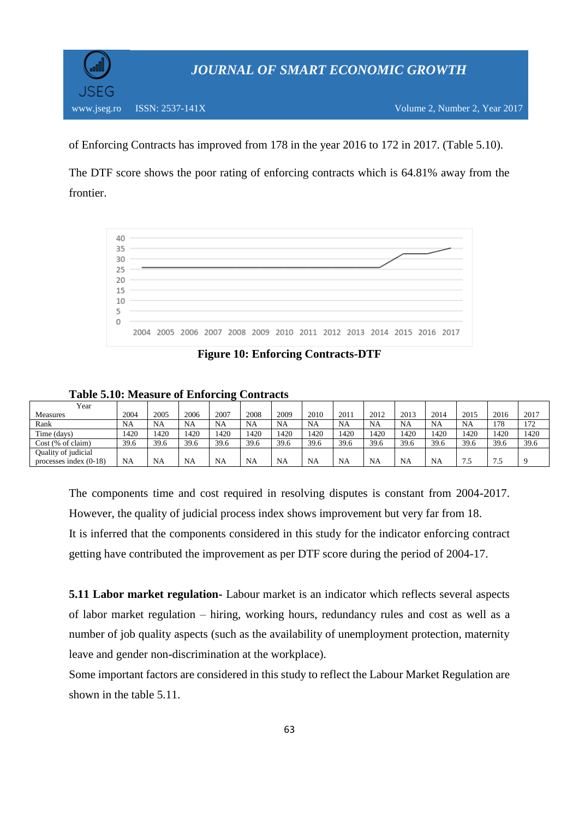

of Enforcing Contracts has improved from 178 in the year 2016 to 172 in 2017. (Table 5.10).

The DTF score shows the poor rating of enforcing contracts which is 64.81% away from the frontier.



**Figure 10: Enforcing Contracts-DTF**

#### **Table 5.10: Measure of Enforcing Contracts**

| Year                     |      |           |      |           |      |           |           |           |           |           |           |           |      |      |
|--------------------------|------|-----------|------|-----------|------|-----------|-----------|-----------|-----------|-----------|-----------|-----------|------|------|
| <b>Measures</b>          | 2004 | 2005      | 2006 | 2007      | 2008 | 2009      | 2010      | 2011      | 2012      | 2013      | 2014      | 2015      | 2016 | 2017 |
| Rank                     | NA   | <b>NA</b> | NA   | NA        | NA   | <b>NA</b> | <b>NA</b> | <b>NA</b> | <b>NA</b> | <b>NA</b> | NA        | <b>NA</b> | 178  | 172  |
| Time (days)              | 1420 | 1420      | 1420 | 1420      | 1420 | 1420      | 1420      | 1420      | 1420      | 1420      | 1420      | 1420      | 1420 | 1420 |
| $Cost$ (% of claim)      | 39.6 | 39.6      | 39.6 | 39.6      | 39.6 | 39.6      | 39.6      | 39.6      | 39.6      | 39.6      | 39.6      | 39.6      | 39.6 | 39.6 |
| Quality of judicial      |      |           |      |           |      |           |           |           |           |           |           |           |      |      |
| processes index $(0-18)$ | NA   | <b>NA</b> | NA   | <b>NA</b> | NA   | NA        | <b>NA</b> | NA        | <b>NA</b> | NA        | <b>NA</b> | ر.,       | 7.5  |      |

The components time and cost required in resolving disputes is constant from 2004-2017. However, the quality of judicial process index shows improvement but very far from 18. It is inferred that the components considered in this study for the indicator enforcing contract getting have contributed the improvement as per DTF score during the period of 2004-17.

**5.11 Labor market regulation-** Labour market is an indicator which reflects several aspects of labor market regulation – hiring, working hours, redundancy rules and cost as well as a number of job quality aspects (such as the availability of unemployment protection, maternity leave and gender non-discrimination at the workplace).

Some important factors are considered in this study to reflect the Labour Market Regulation are shown in the table 5.11.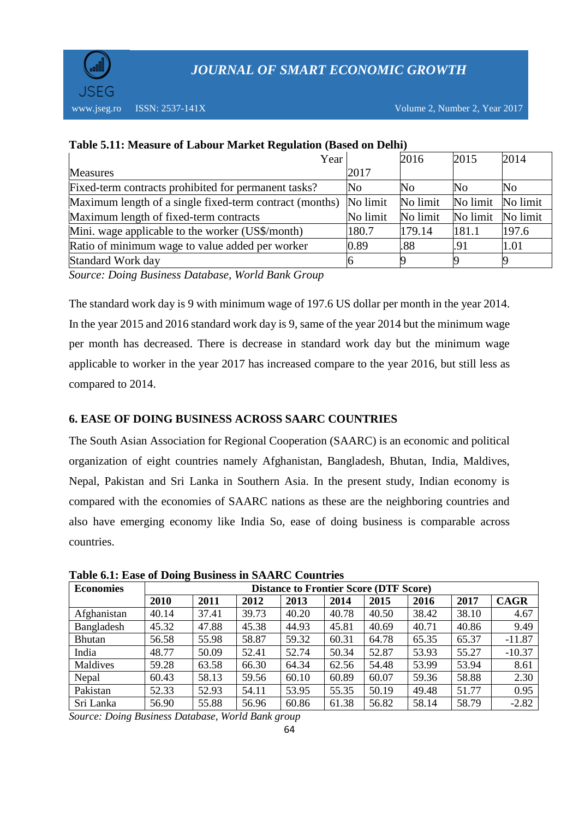

www.jseg.ro ISSN: 2537-141X Volume 2, Number 2, Year 2017

| Year                                                    |          | 2016     | 2015     | 2014     |
|---------------------------------------------------------|----------|----------|----------|----------|
| <b>Measures</b>                                         | 2017     |          |          |          |
| Fixed-term contracts prohibited for permanent tasks?    | No       | No       | No       | No       |
| Maximum length of a single fixed-term contract (months) | No limit | No limit | No limit | No limit |
| Maximum length of fixed-term contracts                  | No limit | No limit | No limit | No limit |
| Mini. wage applicable to the worker (US\$/month)        | 180.7    | 179.14   | 181.1    | 197.6    |
| Ratio of minimum wage to value added per worker         | 0.89     | .88      | .91      | 1.01     |
| Standard Work day                                       |          |          |          |          |
| $\mathbf{C}$                                            |          |          |          |          |

### **Table 5.11: Measure of Labour Market Regulation (Based on Delhi)**

*Source: Doing Business Database, World Bank Group*

The standard work day is 9 with minimum wage of 197.6 US dollar per month in the year 2014. In the year 2015 and 2016 standard work day is 9, same of the year 2014 but the minimum wage per month has decreased. There is decrease in standard work day but the minimum wage applicable to worker in the year 2017 has increased compare to the year 2016, but still less as compared to 2014.

### **6. EASE OF DOING BUSINESS ACROSS SAARC COUNTRIES**

The South Asian Association for Regional Cooperation (SAARC) is an economic and political organization of eight countries namely Afghanistan, Bangladesh, Bhutan, India, Maldives, Nepal, Pakistan and Sri Lanka in Southern Asia. In the present study, Indian economy is compared with the economies of SAARC nations as these are the neighboring countries and also have emerging economy like India So, ease of doing business is comparable across countries.

| <b>Economies</b> | ິ<br><b>Distance to Frontier Score (DTF Score)</b> |       |       |       |       |       |       |       |             |
|------------------|----------------------------------------------------|-------|-------|-------|-------|-------|-------|-------|-------------|
|                  | 2010                                               | 2011  | 2012  | 2013  | 2014  | 2015  | 2016  | 2017  | <b>CAGR</b> |
| Afghanistan      | 40.14                                              | 37.41 | 39.73 | 40.20 | 40.78 | 40.50 | 38.42 | 38.10 | 4.67        |
| Bangladesh       | 45.32                                              | 47.88 | 45.38 | 44.93 | 45.81 | 40.69 | 40.71 | 40.86 | 9.49        |
| Bhutan           | 56.58                                              | 55.98 | 58.87 | 59.32 | 60.31 | 64.78 | 65.35 | 65.37 | $-11.87$    |
| India            | 48.77                                              | 50.09 | 52.41 | 52.74 | 50.34 | 52.87 | 53.93 | 55.27 | $-10.37$    |
| Maldives         | 59.28                                              | 63.58 | 66.30 | 64.34 | 62.56 | 54.48 | 53.99 | 53.94 | 8.61        |
| Nepal            | 60.43                                              | 58.13 | 59.56 | 60.10 | 60.89 | 60.07 | 59.36 | 58.88 | 2.30        |
| Pakistan         | 52.33                                              | 52.93 | 54.11 | 53.95 | 55.35 | 50.19 | 49.48 | 51.77 | 0.95        |
| Sri Lanka        | 56.90                                              | 55.88 | 56.96 | 60.86 | 61.38 | 56.82 | 58.14 | 58.79 | $-2.82$     |

**Table 6.1: Ease of Doing Business in SAARC Countries**

*Source: Doing Business Database, World Bank group*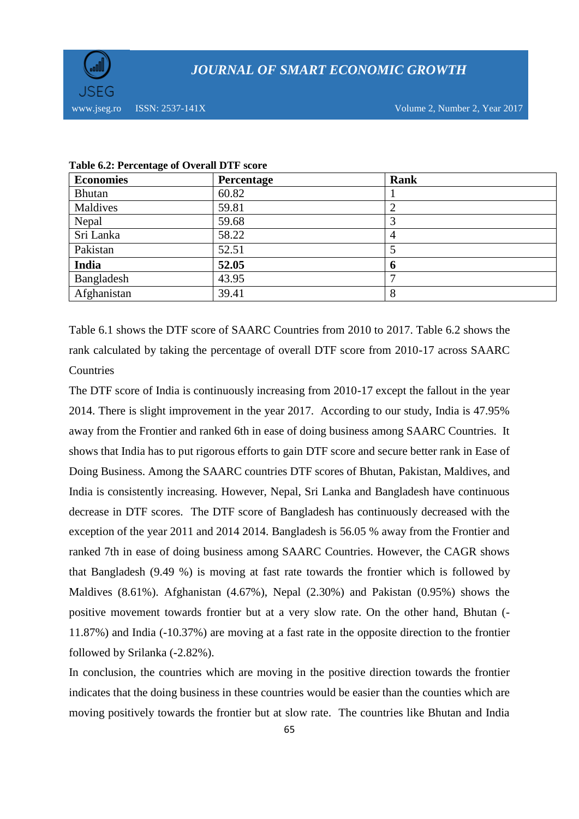

| <b>Economies</b> | Percentage | Rank |
|------------------|------------|------|
| <b>Bhutan</b>    | 60.82      |      |
| Maldives         | 59.81      |      |
| Nepal            | 59.68      |      |
| Sri Lanka        | 58.22      | 4    |
| Pakistan         | 52.51      |      |
| India            | 52.05      | 6    |
| Bangladesh       | 43.95      |      |
| Afghanistan      | 39.41      | 8    |

#### **Table 6.2: Percentage of Overall DTF score**

Table 6.1 shows the DTF score of SAARC Countries from 2010 to 2017. Table 6.2 shows the rank calculated by taking the percentage of overall DTF score from 2010-17 across SAARC **Countries** 

The DTF score of India is continuously increasing from 2010-17 except the fallout in the year 2014. There is slight improvement in the year 2017. According to our study, India is 47.95% away from the Frontier and ranked 6th in ease of doing business among SAARC Countries. It shows that India has to put rigorous efforts to gain DTF score and secure better rank in Ease of Doing Business. Among the SAARC countries DTF scores of Bhutan, Pakistan, Maldives, and India is consistently increasing. However, Nepal, Sri Lanka and Bangladesh have continuous decrease in DTF scores. The DTF score of Bangladesh has continuously decreased with the exception of the year 2011 and 2014 2014. Bangladesh is 56.05 % away from the Frontier and ranked 7th in ease of doing business among SAARC Countries. However, the CAGR shows that Bangladesh (9.49 %) is moving at fast rate towards the frontier which is followed by Maldives (8.61%). Afghanistan (4.67%), Nepal (2.30%) and Pakistan (0.95%) shows the positive movement towards frontier but at a very slow rate. On the other hand, Bhutan (- 11.87%) and India (-10.37%) are moving at a fast rate in the opposite direction to the frontier followed by Srilanka (-2.82%).

In conclusion, the countries which are moving in the positive direction towards the frontier indicates that the doing business in these countries would be easier than the counties which are moving positively towards the frontier but at slow rate. The countries like Bhutan and India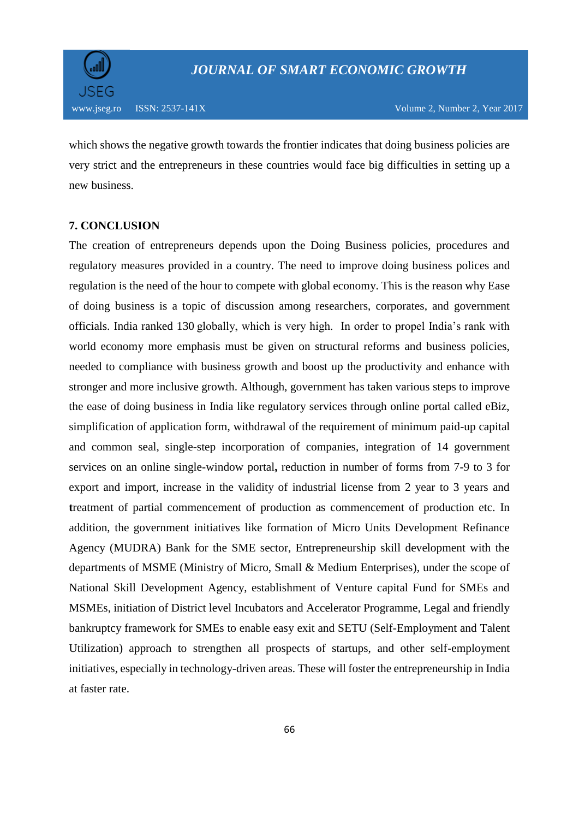

which shows the negative growth towards the frontier indicates that doing business policies are very strict and the entrepreneurs in these countries would face big difficulties in setting up a new business.

### **7. CONCLUSION**

The creation of entrepreneurs depends upon the Doing Business policies, procedures and regulatory measures provided in a country. The need to improve doing business polices and regulation is the need of the hour to compete with global economy. This is the reason why Ease of doing business is a topic of discussion among researchers, corporates, and government officials. India ranked 130 globally, which is very high. In order to propel India's rank with world economy more emphasis must be given on structural reforms and business policies, needed to compliance with business growth and boost up the productivity and enhance with stronger and more inclusive growth. Although, government has taken various steps to improve the ease of doing business in India like regulatory services through online portal called eBiz, simplification of application form, withdrawal of the requirement of minimum paid-up capital and common seal, single-step incorporation of companies, integration of 14 government services on an online single-window portal**,** reduction in number of forms from 7-9 to 3 for export and import, increase in the validity of industrial license from 2 year to 3 years and **t**reatment of partial commencement of production as commencement of production etc. In addition, the government initiatives like formation of Micro Units Development Refinance Agency (MUDRA) Bank for the SME sector, Entrepreneurship skill development with the departments of MSME (Ministry of Micro, Small & Medium Enterprises), under the scope of National Skill Development Agency, establishment of Venture capital Fund for SMEs and MSMEs, initiation of District level Incubators and Accelerator Programme, Legal and friendly bankruptcy framework for SMEs to enable easy exit and SETU (Self-Employment and Talent Utilization) approach to strengthen all prospects of startups, and other self-employment initiatives, especially in technology-driven areas. These will foster the entrepreneurship in India at faster rate.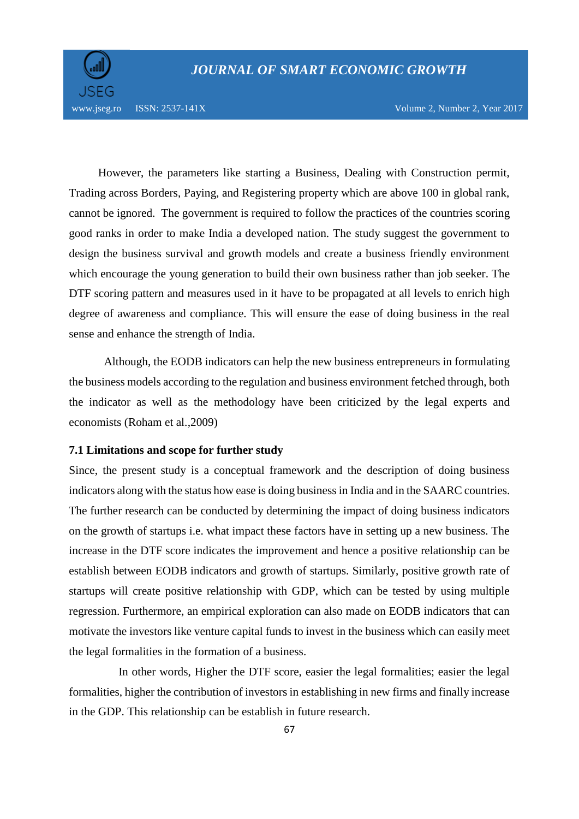

www.jseg.ro ISSN: 2537-141X Volume 2, Number 2, Year 2017

 However, the parameters like starting a Business, Dealing with Construction permit, Trading across Borders, Paying, and Registering property which are above 100 in global rank, cannot be ignored. The government is required to follow the practices of the countries scoring good ranks in order to make India a developed nation. The study suggest the government to design the business survival and growth models and create a business friendly environment which encourage the young generation to build their own business rather than job seeker. The DTF scoring pattern and measures used in it have to be propagated at all levels to enrich high degree of awareness and compliance. This will ensure the ease of doing business in the real sense and enhance the strength of India.

 Although, the EODB indicators can help the new business entrepreneurs in formulating the business models according to the regulation and business environment fetched through, both the indicator as well as the methodology have been criticized by the legal experts and economists (Roham et al.,2009)

#### **7.1 Limitations and scope for further study**

Since, the present study is a conceptual framework and the description of doing business indicators along with the status how ease is doing business in India and in the SAARC countries. The further research can be conducted by determining the impact of doing business indicators on the growth of startups i.e. what impact these factors have in setting up a new business. The increase in the DTF score indicates the improvement and hence a positive relationship can be establish between EODB indicators and growth of startups. Similarly, positive growth rate of startups will create positive relationship with GDP, which can be tested by using multiple regression. Furthermore, an empirical exploration can also made on EODB indicators that can motivate the investors like venture capital funds to invest in the business which can easily meet the legal formalities in the formation of a business.

 In other words, Higher the DTF score, easier the legal formalities; easier the legal formalities, higher the contribution of investors in establishing in new firms and finally increase in the GDP. This relationship can be establish in future research.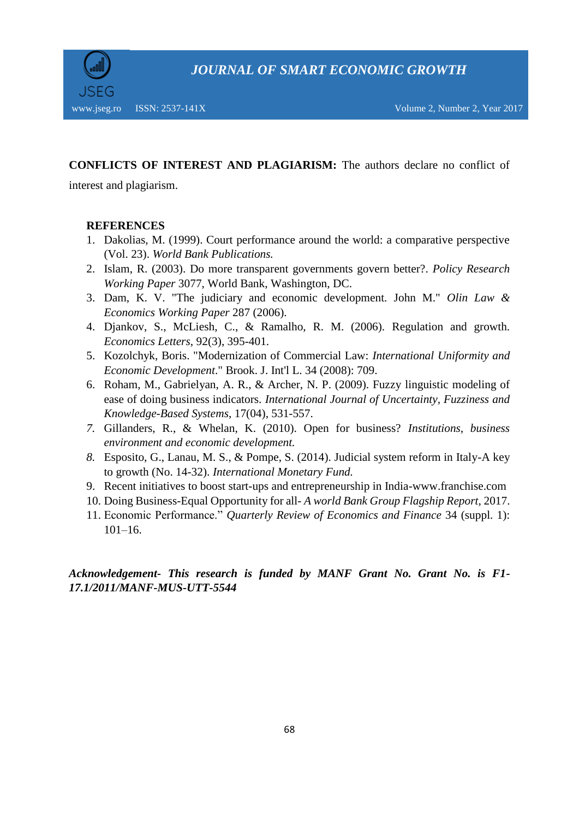

## **CONFLICTS OF INTEREST AND PLAGIARISM:** The authors declare no conflict of

interest and plagiarism.

### **REFERENCES**

- 1. Dakolias, M. (1999). Court performance around the world: a comparative perspective (Vol. 23). *World Bank Publications.*
- 2. Islam, R. (2003). Do more transparent governments govern better?. *Policy Research Working Paper* 3077, World Bank, Washington, DC.
- 3. Dam, K. V. "The judiciary and economic development. John M." *Olin Law & Economics Working Paper* 287 (2006).
- 4. Djankov, S., McLiesh, C., & Ramalho, R. M. (2006). Regulation and growth. *Economics Letters*, 92(3), 395-401.
- 5. Kozolchyk, Boris. "Modernization of Commercial Law: *International Uniformity and Economic Development*." Brook. J. Int'l L. 34 (2008): 709.
- 6. Roham, M., Gabrielyan, A. R., & Archer, N. P. (2009). Fuzzy linguistic modeling of ease of doing business indicators*. International Journal of Uncertainty, Fuzziness and Knowledge-Based Systems*, 17(04), 531-557.
- *7.* Gillanders, R., & Whelan, K. (2010). Open for business? *Institutions, business environment and economic development.*
- *8.* Esposito, G., Lanau, M. S., & Pompe, S. (2014). Judicial system reform in Italy-A key to growth (No. 14-32). *International Monetary Fund.*
- 9. Recent initiatives to boost start-ups and entrepreneurship in India-www.franchise.com
- 10. Doing Business-Equal Opportunity for all- *A world Bank Group Flagship Report*, 2017.
- 11. Economic Performance." *Quarterly Review of Economics and Finance* 34 (suppl. 1):  $101-16.$

### *Acknowledgement- This research is funded by MANF Grant No. Grant No. is F1- 17.1/2011/MANF-MUS-UTT-5544*